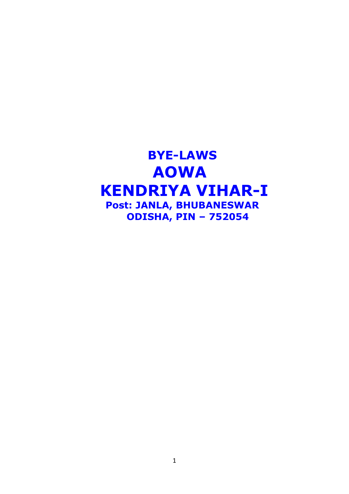# **BYE-LAWS AOWA KENDRIYA VIHAR-I Post: JANLA, BHUBANESWAR ODISHA, PIN – 752054**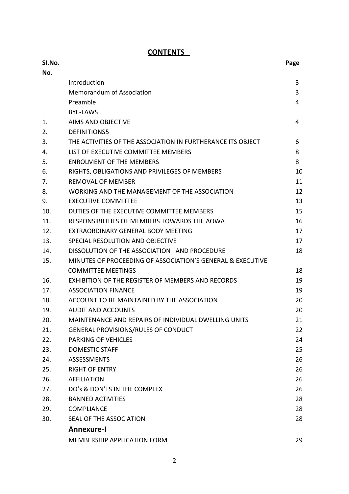## **SI.No. Page No.** Introduction 3 Memorandum of Association 3 Preamble **4** BYE-LAWS 1. AIMS AND OBJECTIVE 4 2. DEFINITIONS5 3. THE ACTIVITIES OF THE ASSOCIATION IN FURTHERANCE ITS OBJECT 6 4. LIST OF EXECUTIVE COMMITTEE MEMBERS 8 5. ENROLMENT OF THE MEMBERS 8 6. RIGHTS, OBLIGATIONS AND PRIVILEGES OF MEMBERS 10 7. REMOVAL OF MEMBER 11 8. WORKING AND THE MANAGEMENT OF THE ASSOCIATION 12 9. EXECUTIVE COMMITTEE 23 10. DUTIES OF THE EXECUTIVE COMMITTEE MEMBERS 15 11. RESPONSIBILITIES OF MEMBERS TOWARDS THE AOWA 16 12. EXTRAORDINARY GENERAL BODY MEETING 17 13. SPECIAL RESOLUTION AND OBJECTIVE 17 14. DISSOLUTION OF THE ASSOCIATION AND PROCEDURE 18 15. MINUTES OF PROCEEDING OF ASSOCIATION'S GENERAL & EXECUTIVE COMMITTEE MEETINGS 18 16. EXHIBITION OF THE REGISTER OF MEMBERS AND RECORDS 19 17. ASSOCIATION FINANCE 19 18. ACCOUNT TO BE MAINTAINED BY THE ASSOCIATION 20 19. AUDIT AND ACCOUNTS 20 20. MAINTENANCE AND REPAIRS OF INDIVIDUAL DWELLING UNITS 21 21. GENERAL PROVISIONS/RULES OF CONDUCT 22 22. PARKING OF VEHICLES 24 23. DOMESTIC STAFF 25 24. ASSESSMENTS 26 25. RIGHT OF ENTRY 26 26. AFFILIATION 26 27. DO's & DON'TS IN THE COMPLEX 26 28. BANNED ACTIVITIES 28 29. COMPLIANCE 28 30. SEAL OF THE ASSOCIATION 28 **Annexure-I** MEMBERSHIP APPLICATION FORM 29

#### **CONTENTS**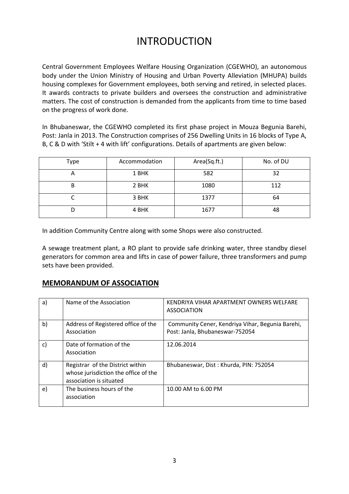# INTRODUCTION

Central Government Employees Welfare Housing Organization (CGEWHO), an autonomous body under the Union Ministry of Housing and Urban Poverty Alleviation (MHUPA) builds housing complexes for Government employees, both serving and retired, in selected places. It awards contracts to private builders and oversees the construction and administrative matters. The cost of construction is demanded from the applicants from time to time based on the progress of work done.

In Bhubaneswar, the CGEWHO completed its first phase project in Mouza Begunia Barehi, Post: Janla in 2013. The Construction comprises of 256 Dwelling Units in 16 blocks of Type A, B, C & D with 'Stilt + 4 with lift' configurations. Details of apartments are given below:

| Type | Accommodation | Area(Sq.ft.) | No. of DU |
|------|---------------|--------------|-----------|
| 宀    | 1 BHK         | 582          | 32        |
| В    | 2 BHK         | 1080         | 112       |
|      | 3 BHK         | 1377         | 64        |
| D    | 4 BHK         | 1677         | 48        |

In addition Community Centre along with some Shops were also constructed.

A sewage treatment plant, a RO plant to provide safe drinking water, three standby diesel generators for common area and lifts in case of power failure, three transformers and pump sets have been provided.

#### **MEMORANDUM OF ASSOCIATION**

| a)           | Name of the Association                                                                             | KENDRIYA VIHAR APARTMENT OWNERS WELFARE<br><b>ASSOCIATION</b>                       |
|--------------|-----------------------------------------------------------------------------------------------------|-------------------------------------------------------------------------------------|
| b)           | Address of Registered office of the<br>Association                                                  | Community Cener, Kendriya Vihar, Begunia Barehi,<br>Post: Janla, Bhubaneswar-752054 |
| $\mathsf{C}$ | Date of formation of the<br>Association                                                             | 12.06.2014                                                                          |
| d)           | Registrar of the District within<br>whose jurisdiction the office of the<br>association is situated | Bhubaneswar, Dist: Khurda, PIN: 752054                                              |
| e)           | The business hours of the<br>association                                                            | 10.00 AM to 6.00 PM                                                                 |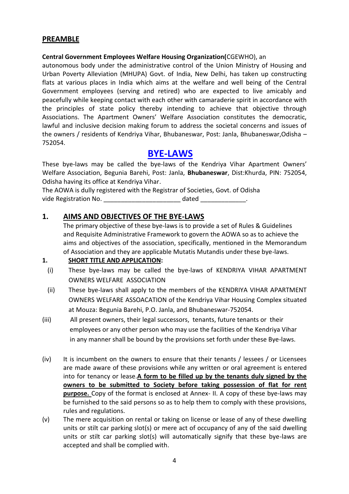#### **PREAMBLE**

#### **Central Government Employees Welfare Housing Organization(**CGEWHO), an

autonomous body under the administrative control of the Union Ministry of Housing and Urban Poverty Alleviation (MHUPA) Govt. of India, New Delhi, has taken up constructing flats at various places in India which aims at the welfare and well being of the Central Government employees (serving and retired) who are expected to live amicably and peacefully while keeping contact with each other with camaraderie spirit in accordance with the principles of state policy thereby intending to achieve that objective through Associations. The Apartment Owners' Welfare Association constitutes the democratic, lawful and inclusive decision making forum to address the societal concerns and issues of the owners / residents of Kendriya Vihar, Bhubaneswar, Post: Janla, Bhubaneswar,Odisha – 752054.

## **BYE-LAWS**

These bye-laws may be called the bye-laws of the Kendriya Vihar Apartment Owners' Welfare Association, Begunia Barehi, Post: Janla, **Bhubaneswar**, Dist:Khurda, PIN: 752054, Odisha having its office at Kendriya Vihar.

The AOWA is dully registered with the Registrar of Societies, Govt. of Odisha vide Registration No. \_\_\_\_\_\_\_\_\_\_\_\_\_\_\_\_\_\_\_\_\_\_\_\_\_\_\_\_\_\_ dated \_\_\_\_\_\_\_\_\_\_\_\_\_\_\_.

#### **1. AIMS AND OBJECTIVES OF THE BYE-LAWS**

The primary objective of these bye-laws is to provide a set of Rules & Guidelines and Requisite Administrative Framework to govern the AOWA so as to achieve the aims and objectives of the association, specifically, mentioned in the Memorandum of Association and they are applicable Mutatis Mutandis under these bye-laws.

#### **1. SHORT TITLE AND APPLICATION:**

- (i) These bye-laws may be called the bye-laws of KENDRIYA VIHAR APARTMENT OWNERS WELFARE ASSOCIATION
- (ii) These bye-laws shall apply to the members of the KENDRIYA VIHAR APARTMENT OWNERS WELFARE ASSOACATION of the Kendriya Vihar Housing Complex situated at Mouza: Begunia Barehi, P.O. Janla, and Bhubaneswar-752054.
- (iii) All present owners, their legal successors, tenants, future tenants or their employees or any other person who may use the facilities of the Kendriya Vihar in any manner shall be bound by the provisions set forth under these Bye-laws.
- (iv) It is incumbent on the owners to ensure that their tenants / lessees / or Licensees are made aware of these provisions while any written or oral agreement is entered into for tenancy or lease.**A form to be filled up by the tenants duly signed by the owners to be submitted to Society before taking possession of flat for rent purpose.** Copy of the format is enclosed at Annex- II. A copy of these bye-laws may be furnished to the said persons so as to help them to comply with these provisions, rules and regulations.
- (v) The mere acquisition on rental or taking on license or lease of any of these dwelling units or stilt car parking slot(s) or mere act of occupancy of any of the said dwelling units or stilt car parking slot(s) will automatically signify that these bye-laws are accepted and shall be complied with.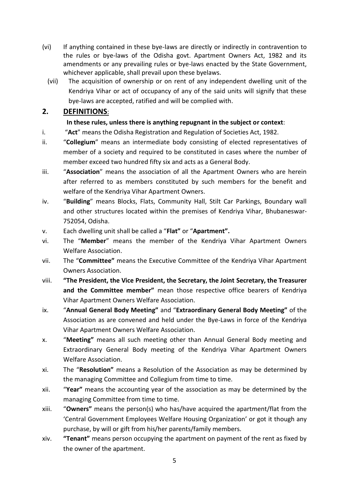- (vi) If anything contained in these bye-laws are directly or indirectly in contravention to the rules or bye-laws of the Odisha govt. Apartment Owners Act, 1982 and its amendments or any prevailing rules or bye-laws enacted by the State Government, whichever applicable, shall prevail upon these byelaws.
	- (vii) The acquisition of ownership or on rent of any independent dwelling unit of the Kendriya Vihar or act of occupancy of any of the said units will signify that these bye-laws are accepted, ratified and will be complied with.

## **2. DEFINITIONS**:

#### **In these rules, unless there is anything repugnant in the subject or context**:

- i. "**Act**" means the Odisha Registration and Regulation of Societies Act, 1982.
- ii. "**Collegium**" means an intermediate body consisting of elected representatives of member of a society and required to be constituted in cases where the number of member exceed two hundred fifty six and acts as a General Body.
- iii. "**Association**" means the association of all the Apartment Owners who are herein after referred to as members constituted by such members for the benefit and welfare of the Kendriya Vihar Apartment Owners.
- iv. "**Building**" means Blocks, Flats, Community Hall, Stilt Car Parkings, Boundary wall and other structures located within the premises of Kendriya Vihar, Bhubaneswar-752054, Odisha.
- v. Each dwelling unit shall be called a "**Flat"** or "**Apartment".**
- vi. The "**Member**" means the member of the Kendriya Vihar Apartment Owners Welfare Association.
- vii. The "**Committee"** means the Executive Committee of the Kendriya Vihar Apartment Owners Association.
- viii. **"The President, the Vice President, the Secretary, the Joint Secretary, the Treasurer and the Committee member"** mean those respective office bearers of Kendriya Vihar Apartment Owners Welfare Association.
- ix. "**Annual General Body Meeting"** and "**Extraordinary General Body Meeting"** of the Association as are convened and held under the Bye-Laws in force of the Kendriya Vihar Apartment Owners Welfare Association.
- x. "**Meeting"** means all such meeting other than Annual General Body meeting and Extraordinary General Body meeting of the Kendriya Vihar Apartment Owners Welfare Association.
- xi. The "**Resolution"** means a Resolution of the Association as may be determined by the managing Committee and Collegium from time to time.
- xii. "**Year"** means the accounting year of the association as may be determined by the managing Committee from time to time.
- xiii. "**Owners"** means the person(s) who has/have acquired the apartment/flat from the 'Central Government Employees Welfare Housing Organization' or got it though any purchase, by will or gift from his/her parents/family members.
- xiv. **"Tenant"** means person occupying the apartment on payment of the rent as fixed by the owner of the apartment.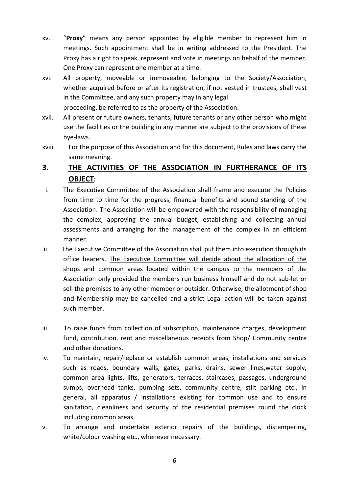- xv. "**Proxy**" means any person appointed by eligible member to represent him in meetings. Such appointment shall be in writing addressed to the President. The Proxy has a right to speak, represent and vote in meetings on behalf of the member. One Proxy can represent one member at a time.
- xvi. All property, moveable or immoveable, belonging to the Society/Association, whether acquired before or after its registration, if not vested in trustees, shall vest in the Committee, and any such property may in any legal proceeding, be referred to as the property of the Association.
- xvii. All present or future owners, tenants, future tenants or any other person who might use the facilities or the building in any manner are subject to the provisions of these bye-laws.
- xviii. For the purpose of this Association and for this document, Rules and laws carry the same meaning.

## **3. THE ACTIVITIES OF THE ASSOCIATION IN FURTHERANCE OF ITS OBJECT:**

- i. The Executive Committee of the Association shall frame and execute the Policies from time to time for the progress, financial benefits and sound standing of the Association. The Association will be empowered with the responsibility of managing the complex, approving the annual budget, establishing and collecting annual assessments and arranging for the management of the complex in an efficient manner.
- ii. The Executive Committee of the Association shall put them into execution through its office bearers. The Executive Committee will decide about the allocation of the shops and common areas located within the campus to the members of the Association only provided the members run business himself and do not sub-let or sell the premises to any other member or outsider. Otherwise, the allotment of shop and Membership may be cancelled and a strict Legal action will be taken against such member.
- iii. To raise funds from collection of subscription, maintenance charges, development fund, contribution, rent and miscellaneous receipts from Shop/ Community centre and other donations.
- iv. To maintain, repair/replace or establish common areas, installations and services such as roads, boundary walls, gates, parks, drains, sewer lines,water supply, common area lights, lifts, generators, terraces, staircases, passages, underground sumps, overhead tanks, pumping sets, community centre, stilt parking etc., in general, all apparatus / installations existing for common use and to ensure sanitation, cleanliness and security of the residential premises round the clock including common areas.
- v. To arrange and undertake exterior repairs of the buildings, distempering, white/colour washing etc., whenever necessary.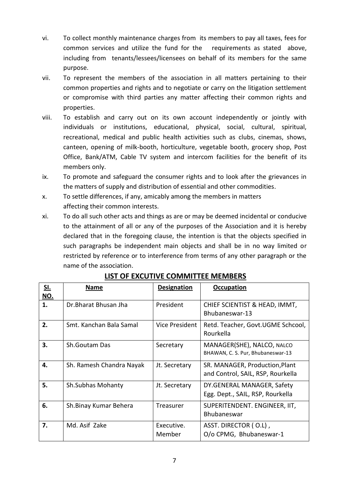- vi. To collect monthly maintenance charges from its members to pay all taxes, fees for common services and utilize the fund for the requirements as stated above, including from tenants/lessees/licensees on behalf of its members for the same purpose.
- vii. To represent the members of the association in all matters pertaining to their common properties and rights and to negotiate or carry on the litigation settlement or compromise with third parties any matter affecting their common rights and properties.
- viii. To establish and carry out on its own account independently or jointly with individuals or institutions, educational, physical, social, cultural, spiritual, recreational, medical and public health activities such as clubs, cinemas, shows, canteen, opening of milk-booth, horticulture, vegetable booth, grocery shop, Post Office, Bank/ATM, Cable TV system and intercom facilities for the benefit of its members only.
- ix. To promote and safeguard the consumer rights and to look after the grievances in the matters of supply and distribution of essential and other commodities.
- x. To settle differences, if any, amicably among the members in matters affecting their common interests.
- xi. To do all such other acts and things as are or may be deemed incidental or conducive to the attainment of all or any of the purposes of the Association and it is hereby declared that in the foregoing clause, the intention is that the objects specified in such paragraphs be independent main objects and shall be in no way limited or restricted by reference or to interference from terms of any other paragraph or the name of the association.

| <u>SI.</u><br><u>NO.</u> | Name                     | <b>Designation</b>   | <b>Occupation</b>                                                   |
|--------------------------|--------------------------|----------------------|---------------------------------------------------------------------|
| 1.                       | Dr. Bharat Bhusan Jha    | President            | CHIEF SCIENTIST & HEAD, IMMT,<br>Bhubaneswar-13                     |
| 2.                       | Smt. Kanchan Bala Samal  | Vice President       | Retd. Teacher, Govt.UGME Schcool,<br>Rourkella                      |
| 3.                       | Sh.Goutam Das            | Secretary            | MANAGER(SHE), NALCO, NALCO<br>BHAWAN, C. S. Pur, Bhubaneswar-13     |
| 4.                       | Sh. Ramesh Chandra Nayak | Jt. Secretary        | SR. MANAGER, Production, Plant<br>and Control, SAIL, RSP, Rourkella |
| 5.                       | <b>Sh.Subhas Mohanty</b> | Jt. Secretary        | DY.GENERAL MANAGER, Safety<br>Egg. Dept., SAIL, RSP, Rourkella      |
| 6.                       | Sh.Binay Kumar Behera    | Treasurer            | SUPERITENDENT. ENGINEER, IIT,<br><b>Bhubaneswar</b>                 |
| 7.                       | Md. Asif Zake            | Executive.<br>Member | ASST. DIRECTOR (O.L),<br>O/o CPMG, Bhubaneswar-1                    |

## **LIST OF EXCUTIVE COMMITTEE MEMBERS**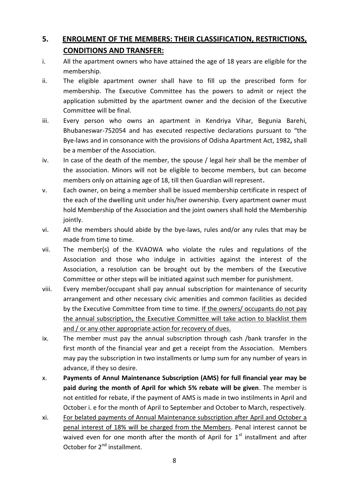# **5. ENROLMENT OF THE MEMBERS: THEIR CLASSIFICATION, RESTRICTIONS, CONDITIONS AND TRANSFER:**

- i. All the apartment owners who have attained the age of 18 years are eligible for the membership.
- ii. The eligible apartment owner shall have to fill up the prescribed form for membership. The Executive Committee has the powers to admit or reject the application submitted by the apartment owner and the decision of the Executive Committee will be final.
- iii. Every person who owns an apartment in Kendriya Vihar, Begunia Barehi, Bhubaneswar-752054 and has executed respective declarations pursuant to "the Bye-laws and in consonance with the provisions of Odisha Apartment Act, 1982**,** shall be a member of the Association.
- iv. In case of the death of the member, the spouse / legal heir shall be the member of the association. Minors will not be eligible to become members, but can become members only on attaining age of 18, till then Guardian will represent.
- v. Each owner, on being a member shall be issued membership certificate in respect of the each of the dwelling unit under his/her ownership. Every apartment owner must hold Membership of the Association and the joint owners shall hold the Membership jointly.
- vi. All the members should abide by the bye-laws, rules and/or any rules that may be made from time to time.
- vii. The member(s) of the KVAOWA who violate the rules and regulations of the Association and those who indulge in activities against the interest of the Association, a resolution can be brought out by the members of the Executive Committee or other steps will be initiated against such member for punishment.
- viii. Every member/occupant shall pay annual subscription for maintenance of security arrangement and other necessary civic amenities and common facilities as decided by the Executive Committee from time to time. If the owners/ occupants do not pay the annual subscription, the Executive Committee will take action to blacklist them and / or any other appropriate action for recovery of dues.
- ix. The member must pay the annual subscription through cash /bank transfer in the first month of the financial year and get a receipt from the Association. Members may pay the subscription in two installments or lump sum for any number of years in advance, if they so desire.
- x. **Payments of Annul Maintenance Subscription (AMS) for full financial year may be paid during the month of April for which 5% rebate will be given**. The member is not entitled for rebate, if the payment of AMS is made in two instilments in April and October i. e for the month of April to September and October to March, respectively.
- xi. For belated payments of Annual Maintenance subscription after April and October a penal interest of 18% will be charged from the Members. Penal interest cannot be waived even for one month after the month of April for  $1<sup>st</sup>$  installment and after October for 2<sup>nd</sup> installment.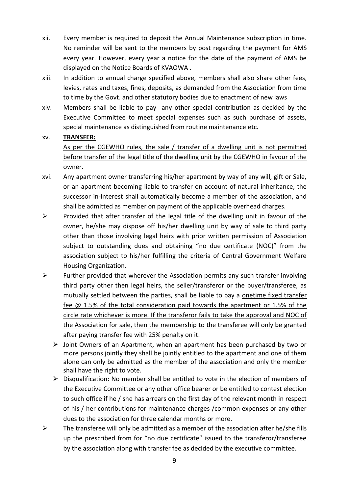- xii. Every member is required to deposit the Annual Maintenance subscription in time. No reminder will be sent to the members by post regarding the payment for AMS every year. However, every year a notice for the date of the payment of AMS be displayed on the Notice Boards of KVAOWA .
- xiii. In addition to annual charge specified above, members shall also share other fees, levies, rates and taxes, fines, deposits, as demanded from the Association from time to time by the Govt. and other statutory bodies due to enactment of new laws
- xiv. Members shall be liable to pay any other special contribution as decided by the Executive Committee to meet special expenses such as such purchase of assets, special maintenance as distinguished from routine maintenance etc.

#### xv. **TRANSFER:**

As per the CGEWHO rules, the sale / transfer of a dwelling unit is not permitted before transfer of the legal title of the dwelling unit by the CGEWHO in favour of the owner.

- xvi. Any apartment owner transferring his/her apartment by way of any will, gift or Sale, or an apartment becoming liable to transfer on account of natural inheritance, the successor in-interest shall automatically become a member of the association, and shall be admitted as member on payment of the applicable overhead charges.
- $\triangleright$  Provided that after transfer of the legal title of the dwelling unit in favour of the owner, he/she may dispose off his/her dwelling unit by way of sale to third party other than those involving legal heirs with prior written permission of Association subject to outstanding dues and obtaining "no due certificate (NOC)" from the association subject to his/her fulfilling the criteria of Central Government Welfare Housing Organization.
- $\triangleright$  Further provided that wherever the Association permits any such transfer involving third party other then legal heirs, the seller/transferor or the buyer/transferee, as mutually settled between the parties, shall be liable to pay a onetime fixed transfer fee @ 1.5% of the total consideration paid towards the apartment or 1.5% of the circle rate whichever is more. If the transferor fails to take the approval and NOC of the Association for sale, then the membership to the transferee will only be granted after paying transfer fee with 25% penalty on it.
	- $\triangleright$  Joint Owners of an Apartment, when an apartment has been purchased by two or more persons jointly they shall be jointly entitled to the apartment and one of them alone can only be admitted as the member of the association and only the member shall have the right to vote.
	- $\triangleright$  Disqualification: No member shall be entitled to vote in the election of members of the Executive Committee or any other office bearer or be entitled to contest election to such office if he / she has arrears on the first day of the relevant month in respect of his / her contributions for maintenance charges /common expenses or any other dues to the association for three calendar months or more.
- $\triangleright$  The transferee will only be admitted as a member of the association after he/she fills up the prescribed from for "no due certificate" issued to the transferor/transferee by the association along with transfer fee as decided by the executive committee.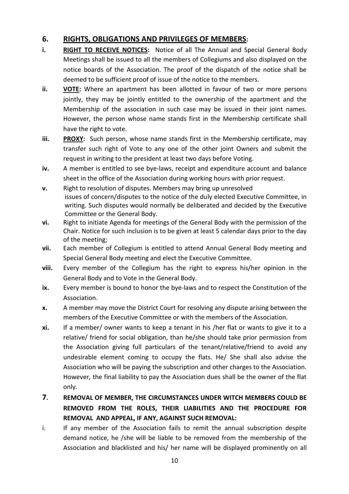#### **6. RIGHTS, OBLIGATIONS AND PRIVILEGES OF MEMBERS:**

- **i. RIGHT TO RECEIVE NOTICES:** Notice of all The Annual and Special General Body Meetings shall be issued to all the members of Collegiums and also displayed on the notice boards of the Association. The proof of the dispatch of the notice shall be deemed to be sufficient proof of issue of the notice to the members.
- **ii. VOTE:** Where an apartment has been allotted in favour of two or more persons jointly, they may be jointly entitled to the ownership of the apartment and the Membership of the association in such case may be issued in their joint names. However, the person whose name stands first in the Membership certificate shall have the right to vote.
- **iii. PROXY:** Such person, whose name stands first in the Membership certificate, may transfer such right of Vote to any one of the other joint Owners and submit the request in writing to the president at least two days before Voting.
- **iv.** A member is entitled to see bye-laws, receipt and expenditure account and balance sheet in the office of the Association during working hours with prior request.
- **v.** Right to resolution of disputes. Members may bring up unresolved issues of concern/disputes to the notice of the duly elected Executive Committee, in writing. Such disputes would normally be deliberated and decided by the Executive Committee or the General Body.
- **vi.** Right to initiate Agenda for meetings of the General Body with the permission of the Chair. Notice for such inclusion is to be given at least 5 calendar days prior to the day of the meeting;
- **vii.** Each member of Collegium is entitled to attend Annual General Body meeting and Special General Body meeting and elect the Executive Committee.
- **viii.** Every member of the Collegium has the right to express his/her opinion in the General Body and to Vote in the General Body.
- **ix.** Every member is bound to honor the bye-laws and to respect the Constitution of the Association.
- **x.** A member may move the District Court for resolving any dispute arising between the members of the Executive Committee or with the members of the Association.
- **xi.** If a member/ owner wants to keep a tenant in his /her flat or wants to give it to a relative/ friend for social obligation, than he/she should take prior permission from the Association giving full particulars of the tenant/relative/friend to avoid any undesirable element coming to occupy the flats. He/ She shall also advise the Association who will be paying the subscription and other charges to the Association. However, the final liability to pay the Association dues shall be the owner of the flat only.
- **7**. **REMOVAL OF MEMBER, THE CIRCUMSTANCES UNDER WITCH MEMBERS COULD BE REMOVED FROM THE ROLES, THEIR LIABILITIES AND THE PROCEDURE FOR REMOVAL AND APPEAL, IF ANY, AGAINST SUCH REMOVAL:**
- i. If any member of the Association fails to remit the annual subscription despite demand notice, he /she will be liable to be removed from the membership of the Association and blacklisted and his/ her name will be displayed prominently on all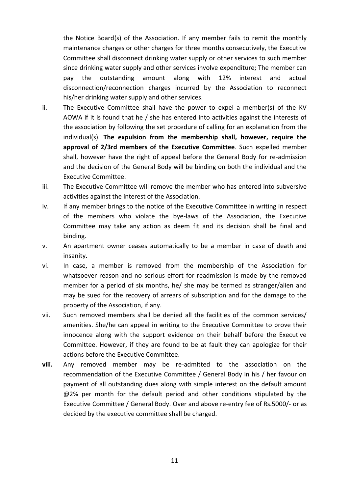the Notice Board(s) of the Association. If any member fails to remit the monthly maintenance charges or other charges for three months consecutively, the Executive Committee shall disconnect drinking water supply or other services to such member since drinking water supply and other services involve expenditure; The member can pay the outstanding amount along with 12% interest and actual disconnection/reconnection charges incurred by the Association to reconnect his/her drinking water supply and other services.

- ii. The Executive Committee shall have the power to expel a member(s) of the KV AOWA if it is found that he / she has entered into activities against the interests of the association by following the set procedure of calling for an explanation from the individual(s). **The expulsion from the membership shall, however, require the approval of 2/3rd members of the Executive Committee**. Such expelled member shall, however have the right of appeal before the General Body for re-admission and the decision of the General Body will be binding on both the individual and the Executive Committee.
- iii. The Executive Committee will remove the member who has entered into subversive activities against the interest of the Association.
- iv. If any member brings to the notice of the Executive Committee in writing in respect of the members who violate the bye-laws of the Association, the Executive Committee may take any action as deem fit and its decision shall be final and binding.
- v. An apartment owner ceases automatically to be a member in case of death and insanity.
- vi. In case, a member is removed from the membership of the Association for whatsoever reason and no serious effort for readmission is made by the removed member for a period of six months, he/ she may be termed as stranger/alien and may be sued for the recovery of arrears of subscription and for the damage to the property of the Association, if any.
- vii. Such removed members shall be denied all the facilities of the common services/ amenities. She/he can appeal in writing to the Executive Committee to prove their innocence along with the support evidence on their behalf before the Executive Committee. However, if they are found to be at fault they can apologize for their actions before the Executive Committee.
- **viii.** Any removed member may be re-admitted to the association on the recommendation of the Executive Committee / General Body in his / her favour on payment of all outstanding dues along with simple interest on the default amount @2% per month for the default period and other conditions stipulated by the Executive Committee / General Body. Over and above re-entry fee of Rs.5000/- or as decided by the executive committee shall be charged.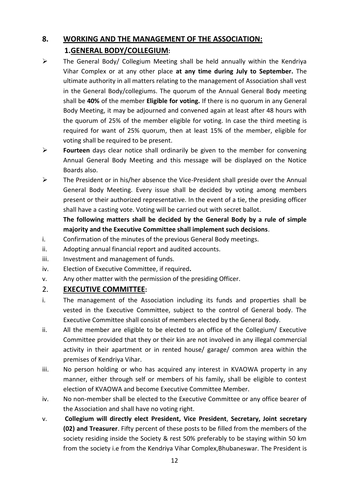# **8. WORKING AND THE MANAGEMENT OF THE ASSOCIATION: 1.GENERAL BODY/COLLEGIUM:**

- $\triangleright$  The General Body/ Collegium Meeting shall be held annually within the Kendriya Vihar Complex or at any other place **at any time during July to September.** The ultimate authority in all matters relating to the management of Association shall vest in the General Body/collegiums. The quorum of the Annual General Body meeting shall be **40%** of the member **Eligible for voting.** If there is no quorum in any General Body Meeting, it may be adjourned and convened again at least after 48 hours with the quorum of 25% of the member eligible for voting. In case the third meeting is required for want of 25% quorum, then at least 15% of the member, eligible for voting shall be required to be present.
- **Fourteen** days clear notice shall ordinarily be given to the member for convening Annual General Body Meeting and this message will be displayed on the Notice Boards also.
- $\triangleright$  The President or in his/her absence the Vice-President shall preside over the Annual General Body Meeting. Every issue shall be decided by voting among members present or their authorized representative. In the event of a tie, the presiding officer shall have a casting vote. Voting will be carried out with secret ballot.

#### **The following matters shall be decided by the General Body by a rule of simple majority and the Executive Committee shall implement such decisions**.

- i. Confirmation of the minutes of the previous General Body meetings.
- ii. Adopting annual financial report and audited accounts.
- iii. Investment and management of funds.
- iv. Election of Executive Committee, if required**.**
- v. Any other matter with the permission of the presiding Officer.

#### 2. **EXECUTIVE COMMITTEE:**

- i. The management of the Association including its funds and properties shall be vested in the Executive Committee, subject to the control of General body. The Executive Committee shall consist of members elected by the General Body.
- ii. All the member are eligible to be elected to an office of the Collegium/ Executive Committee provided that they or their kin are not involved in any illegal commercial activity in their apartment or in rented house/ garage/ common area within the premises of Kendriya Vihar.
- iii. No person holding or who has acquired any interest in KVAOWA property in any manner, either through self or members of his family, shall be eligible to contest election of KVAOWA and become Executive Committee Member.
- iv. No non-member shall be elected to the Executive Committee or any office bearer of the Association and shall have no voting right.
- v. **Collegium will directly elect President, Vice President**, **Secretary, Joint secretary (02) and Treasurer**. Fifty percent of these posts to be filled from the members of the society residing inside the Society & rest 50% preferably to be staying within 50 km from the society i.e from the Kendriya Vihar Complex,Bhubaneswar. The President is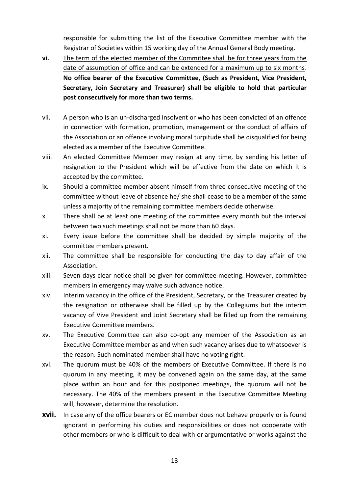responsible for submitting the list of the Executive Committee member with the Registrar of Societies within 15 working day of the Annual General Body meeting.

- **vi.** The term of the elected member of the Committee shall be for three years from the date of assumption of office and can be extended for a maximum up to six months. **No office bearer of the Executive Committee, (Such as President, Vice President, Secretary, Join Secretary and Treasurer) shall be eligible to hold that particular post consecutively for more than two terms.**
- vii. A person who is an un-discharged insolvent or who has been convicted of an offence in connection with formation, promotion, management or the conduct of affairs of the Association or an offence involving moral turpitude shall be disqualified for being elected as a member of the Executive Committee.
- viii. An elected Committee Member may resign at any time, by sending his letter of resignation to the President which will be effective from the date on which it is accepted by the committee.
- ix. Should a committee member absent himself from three consecutive meeting of the committee without leave of absence he/ she shall cease to be a member of the same unless a majority of the remaining committee members decide otherwise.
- x. There shall be at least one meeting of the committee every month but the interval between two such meetings shall not be more than 60 days.
- xi. Every issue before the committee shall be decided by simple majority of the committee members present.
- xii. The committee shall be responsible for conducting the day to day affair of the Association.
- xiii. Seven days clear notice shall be given for committee meeting. However, committee members in emergency may waive such advance notice.
- xiv. Interim vacancy in the office of the President, Secretary, or the Treasurer created by the resignation or otherwise shall be filled up by the Collegiums but the interim vacancy of Vive President and Joint Secretary shall be filled up from the remaining Executive Committee members.
- xv. The Executive Committee can also co-opt any member of the Association as an Executive Committee member as and when such vacancy arises due to whatsoever is the reason. Such nominated member shall have no voting right.
- xvi. The quorum must be 40% of the members of Executive Committee. If there is no quorum in any meeting, it may be convened again on the same day, at the same place within an hour and for this postponed meetings, the quorum will not be necessary. The 40% of the members present in the Executive Committee Meeting will, however, determine the resolution.
- **xvii.** In case any of the office bearers or EC member does not behave properly or is found ignorant in performing his duties and responsibilities or does not cooperate with other members or who is difficult to deal with or argumentative or works against the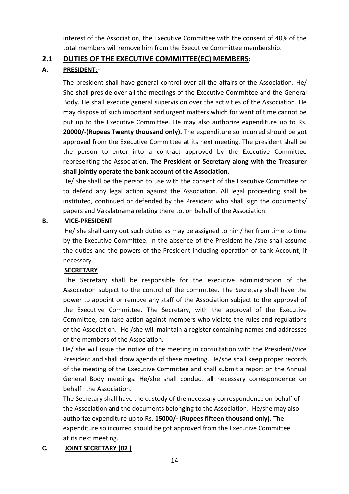interest of the Association, the Executive Committee with the consent of 40% of the total members will remove him from the Executive Committee membership.

#### **2.1 DUTIES OF THE EXECUTIVE COMMITTEE(EC) MEMBERS:**

#### **A. PRESIDENT:-**

The president shall have general control over all the affairs of the Association. He/ She shall preside over all the meetings of the Executive Committee and the General Body. He shall execute general supervision over the activities of the Association. He may dispose of such important and urgent matters which for want of time cannot be put up to the Executive Committee. He may also authorize expenditure up to Rs. **20000/-(Rupees Twenty thousand only).** The expenditure so incurred should be got approved from the Executive Committee at its next meeting. The president shall be the person to enter into a contract approved by the Executive Committee representing the Association. **The President or Secretary along with the Treasurer shall jointly operate the bank account of the Association.**

He/ she shall be the person to use with the consent of the Executive Committee or to defend any legal action against the Association. All legal proceeding shall be instituted, continued or defended by the President who shall sign the documents/ papers and Vakalatnama relating there to, on behalf of the Association.

#### **B. VICE-PRESIDENT**

 He/ she shall carry out such duties as may be assigned to him/ her from time to time by the Executive Committee. In the absence of the President he /she shall assume the duties and the powers of the President including operation of bank Account, if necessary.

#### **SECRETARY**

The Secretary shall be responsible for the executive administration of the Association subject to the control of the committee. The Secretary shall have the power to appoint or remove any staff of the Association subject to the approval of the Executive Committee. The Secretary, with the approval of the Executive Committee, can take action against members who violate the rules and regulations of the Association. He /she will maintain a register containing names and addresses of the members of the Association.

 He/ she will issue the notice of the meeting in consultation with the President/Vice President and shall draw agenda of these meeting. He/she shall keep proper records of the meeting of the Executive Committee and shall submit a report on the Annual General Body meetings. He/she shall conduct all necessary correspondence on behalf the Association.

 The Secretary shall have the custody of the necessary correspondence on behalf of the Association and the documents belonging to the Association. He/she may also authorize expenditure up to Rs. **15000/- (Rupees fifteen thousand only).** The expenditure so incurred should be got approved from the Executive Committee at its next meeting.

## **C. JOINT SECRETARY (02 )**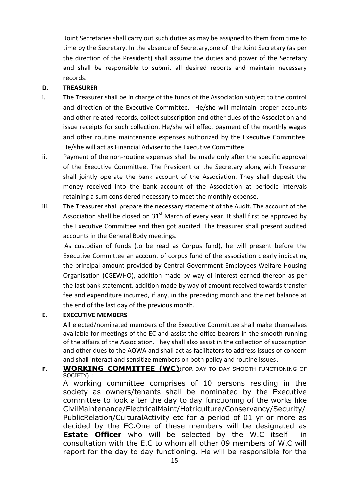Joint Secretaries shall carry out such duties as may be assigned to them from time to time by the Secretary. In the absence of Secretary,one of the Joint Secretary (as per the direction of the President) shall assume the duties and power of the Secretary and shall be responsible to submit all desired reports and maintain necessary records.

#### **D. TREASURER**

- i. The Treasurer shall be in charge of the funds of the Association subject to the control and direction of the Executive Committee. He/she will maintain proper accounts and other related records, collect subscription and other dues of the Association and issue receipts for such collection. He/she will effect payment of the monthly wages and other routine maintenance expenses authorized by the Executive Committee. He/she will act as Financial Adviser to the Executive Committee.
- ii. Payment of the non-routine expenses shall be made only after the specific approval of the Executive Committee. The President or the Secretary along with Treasurer shall jointly operate the bank account of the Association. They shall deposit the money received into the bank account of the Association at periodic intervals retaining a sum considered necessary to meet the monthly expense.
- iii. The Treasurer shall prepare the necessary statement of the Audit. The account of the Association shall be closed on  $31<sup>st</sup>$  March of every year. It shall first be approved by the Executive Committee and then got audited. The treasurer shall present audited accounts in the General Body meetings.

 As custodian of funds (to be read as Corpus fund), he will present before the Executive Committee an account of corpus fund of the association clearly indicating the principal amount provided by Central Government Employees Welfare Housing Organisation (CGEWHO), addition made by way of interest earned thereon as per the last bank statement, addition made by way of amount received towards transfer fee and expenditure incurred, if any, in the preceding month and the net balance at the end of the last day of the previous month.

#### **E. EXECUTIVE MEMBERS**

All elected/nominated members of the Executive Committee shall make themselves available for meetings of the EC and assist the office bearers in the smooth running of the affairs of the Association. They shall also assist in the collection of subscription and other dues to the AOWA and shall act as facilitators to address issues of concern and shall interact and sensitize members on both policy and routine issues.

**F. WORKING COMMITTEE (WC)**(FOR DAY TO DAY SMOOTH FUNCTIONING OF SOCIETY) :

A working committee comprises of 10 persons residing in the society as owners/tenants shall be nominated by the Executive committee to look after the day to day functioning of the works like CivilMaintenance/ElectricalMaint/Hotriculture/Conservancy/Security/ PublicRelation/CulturalActivity etc for a period of 01 yr or more as decided by the EC.One of these members will be designated as **Estate Officer** who will be selected by the W.C itself in consultation with the E.C to whom all other 09 members of W.C will report for the day to day functioning. He will be responsible for the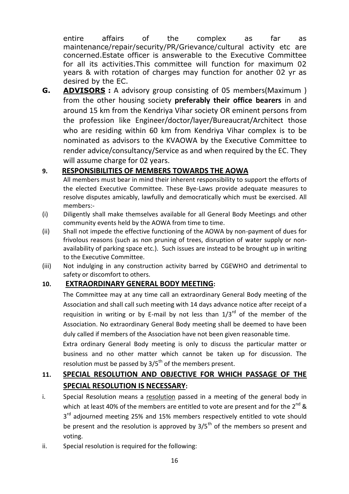entire affairs of the complex as far as maintenance/repair/security/PR/Grievance/cultural activity etc are concerned.Estate officer is answerable to the Executive Committee for all its activities.This committee will function for maximum 02 years & with rotation of charges may function for another 02 yr as desired by the EC.

**G. ADVISORS :** A advisory group consisting of 05 members(Maximum ) from the other housing society **preferably their office bearers** in and around 15 km from the Kendriya Vihar society OR eminent persons from the profession like Engineer/doctor/layer/Bureaucrat/Architect those who are residing within 60 km from Kendriya Vihar complex is to be nominated as advisors to the KVAOWA by the Executive Committee to render advice/consultancy/Service as and when required by the EC. They will assume charge for 02 years.

## **9. RESPONSIBILITIES OF MEMBERS TOWARDS THE AOWA**

All members must bear in mind their inherent responsibility to support the efforts of the elected Executive Committee. These Bye-Laws provide adequate measures to resolve disputes amicably, lawfully and democratically which must be exercised. All members:-

- (i) Diligently shall make themselves available for all General Body Meetings and other community events held by the AOWA from time to time.
- (ii) Shall not impede the effective functioning of the AOWA by non-payment of dues for frivolous reasons (such as non pruning of trees, disruption of water supply or nonavailability of parking space etc.). Such issues are instead to be brought up in writing to the Executive Committee.
- (iii) Not indulging in any construction activity barred by CGEWHO and detrimental to safety or discomfort to others.

## **10. EXTRAORDINARY GENERAL BODY MEETING:**

 The Committee may at any time call an extraordinary General Body meeting of the Association and shall call such meeting with 14 days advance notice after receipt of a requisition in writing or by E-mail by not less than  $1/3^{rd}$  of the member of the Association. No extraordinary General Body meeting shall be deemed to have been duly called if members of the Association have not been given reasonable time.

 Extra ordinary General Body meeting is only to discuss the particular matter or business and no other matter which cannot be taken up for discussion. The resolution must be passed by  $3/5<sup>th</sup>$  of the members present.

## **11. SPECIAL RESOLUTION AND OBJECTIVE FOR WHICH PASSAGE OF THE SPECIAL RESOLUTION IS NECESSARY:**

- i. Special Resolution means a resolution passed in a meeting of the general body in which at least 40% of the members are entitled to vote are present and for the  $2^{nd}$  & 3<sup>rd</sup> adjourned meeting 25% and 15% members respectively entitled to vote should be present and the resolution is approved by  $3/5^{th}$  of the members so present and voting.
- ii. Special resolution is required for the following: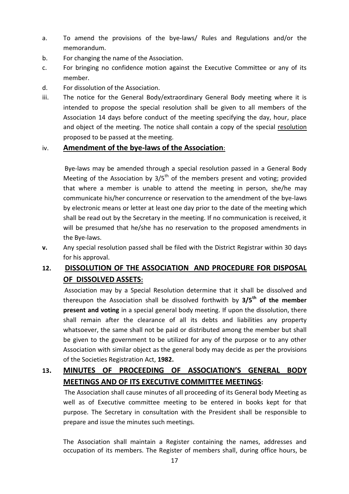- a. To amend the provisions of the bye-laws/ Rules and Regulations and/or the memorandum.
- b. For changing the name of the Association.
- c. For bringing no confidence motion against the Executive Committee or any of its member.
- d. For dissolution of the Association.
- iii. The notice for the General Body/extraordinary General Body meeting where it is intended to propose the special resolution shall be given to all members of the Association 14 days before conduct of the meeting specifying the day, hour, place and object of the meeting. The notice shall contain a copy of the special resolution proposed to be passed at the meeting.

#### iv. **Amendment of the bye-laws of the Association**:

 Bye-laws may be amended through a special resolution passed in a General Body Meeting of the Association by  $3/5<sup>th</sup>$  of the members present and voting; provided that where a member is unable to attend the meeting in person, she/he may communicate his/her concurrence or reservation to the amendment of the bye-laws by electronic means or letter at least one day prior to the date of the meeting which shall be read out by the Secretary in the meeting. If no communication is received, it will be presumed that he/she has no reservation to the proposed amendments in the Bye-laws.

**v.** Any special resolution passed shall be filed with the District Registrar within 30 days for his approval.

## **12. DISSOLUTION OF THE ASSOCIATION AND PROCEDURE FOR DISPOSAL OF DISSOLVED ASSETS:**

 Association may by a Special Resolution determine that it shall be dissolved and thereupon the Association shall be dissolved forthwith by **3/5th of the member present and voting** in a special general body meeting. If upon the dissolution, there shall remain after the clearance of all its debts and liabilities any property whatsoever, the same shall not be paid or distributed among the member but shall be given to the government to be utilized for any of the purpose or to any other Association with similar object as the general body may decide as per the provisions of the Societies Registration Act, **1982.**

## **13. MINUTES OF PROCEEDING OF ASSOCIATION'S GENERAL BODY MEETINGS AND OF ITS EXECUTIVE COMMITTEE MEETINGS:**

 The Association shall cause minutes of all proceeding of its General body Meeting as well as of Executive committee meeting to be entered in books kept for that purpose. The Secretary in consultation with the President shall be responsible to prepare and issue the minutes such meetings.

The Association shall maintain a Register containing the names, addresses and occupation of its members. The Register of members shall, during office hours, be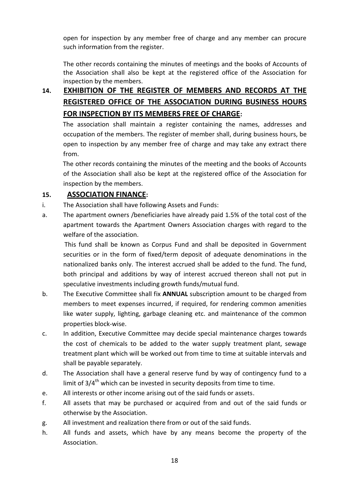open for inspection by any member free of charge and any member can procure such information from the register.

The other records containing the minutes of meetings and the books of Accounts of the Association shall also be kept at the registered office of the Association for inspection by the members.

# **14. EXHIBITION OF THE REGISTER OF MEMBERS AND RECORDS AT THE REGISTERED OFFICE OF THE ASSOCIATION DURING BUSINESS HOURS FOR INSPECTION BY ITS MEMBERS FREE OF CHARGE:**

 The association shall maintain a register containing the names, addresses and occupation of the members. The register of member shall, during business hours, be open to inspection by any member free of charge and may take any extract there from.

 The other records containing the minutes of the meeting and the books of Accounts of the Association shall also be kept at the registered office of the Association for inspection by the members.

#### **15. ASSOCIATION FINANCE:**

- i. The Association shall have following Assets and Funds:
- a. The apartment owners /beneficiaries have already paid 1.5% of the total cost of the apartment towards the Apartment Owners Association charges with regard to the welfare of the association.

 This fund shall be known as Corpus Fund and shall be deposited in Government securities or in the form of fixed/term deposit of adequate denominations in the nationalized banks only. The interest accrued shall be added to the fund. The fund, both principal and additions by way of interest accrued thereon shall not put in speculative investments including growth funds/mutual fund.

- b. The Executive Committee shall fix **ANNUAL** subscription amount to be charged from members to meet expenses incurred, if required, for rendering common amenities like water supply, lighting, garbage cleaning etc. and maintenance of the common properties block-wise.
- c. In addition, Executive Committee may decide special maintenance charges towards the cost of chemicals to be added to the water supply treatment plant, sewage treatment plant which will be worked out from time to time at suitable intervals and shall be payable separately.
- d. The Association shall have a general reserve fund by way of contingency fund to a limit of  $3/4^{\text{th}}$  which can be invested in security deposits from time to time.
- e. All interests or other income arising out of the said funds or assets.
- f. All assets that may be purchased or acquired from and out of the said funds or otherwise by the Association.
- g. All investment and realization there from or out of the said funds.
- h. All funds and assets, which have by any means become the property of the Association.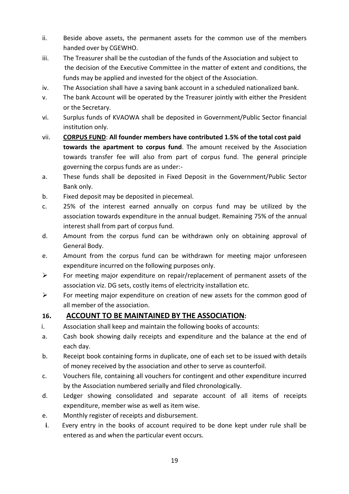- ii. Beside above assets, the permanent assets for the common use of the members handed over by CGEWHO.
- iii. The Treasurer shall be the custodian of the funds of the Association and subject to the decision of the Executive Committee in the matter of extent and conditions, the funds may be applied and invested for the object of the Association.
- iv. The Association shall have a saving bank account in a scheduled nationalized bank.
- v. The bank Account will be operated by the Treasurer jointly with either the President or the Secretary.
- vi. Surplus funds of KVAOWA shall be deposited in Government/Public Sector financial institution only.
- vii. **CORPUS FUND**: **All founder members have contributed 1.5% of the total cost paid towards the apartment to corpus fund**. The amount received by the Association towards transfer fee will also from part of corpus fund. The general principle governing the corpus funds are as under:-
- a. These funds shall be deposited in Fixed Deposit in the Government/Public Sector Bank only.
- b. Fixed deposit may be deposited in piecemeal.
- c. 25% of the interest earned annually on corpus fund may be utilized by the association towards expenditure in the annual budget. Remaining 75% of the annual interest shall from part of corpus fund.
- d. Amount from the corpus fund can be withdrawn only on obtaining approval of General Body.
- e. Amount from the corpus fund can be withdrawn for meeting major unforeseen expenditure incurred on the following purposes only.
- $\triangleright$  For meeting major expenditure on repair/replacement of permanent assets of the association viz. DG sets, costly items of electricity installation etc.
- $\triangleright$  For meeting major expenditure on creation of new assets for the common good of all member of the association.

## **16. ACCOUNT TO BE MAINTAINED BY THE ASSOCIATION:**

- i. Association shall keep and maintain the following books of accounts:
- a. Cash book showing daily receipts and expenditure and the balance at the end of each day.
- b. Receipt book containing forms in duplicate, one of each set to be issued with details of money received by the association and other to serve as counterfoil.
- c. Vouchers file, containing all vouchers for contingent and other expenditure incurred by the Association numbered serially and filed chronologically.
- d. Ledger showing consolidated and separate account of all items of receipts expenditure, member wise as well as item wise.
- e. Monthly register of receipts and disbursement.
- **i**. Every entry in the books of account required to be done kept under rule shall be entered as and when the particular event occurs.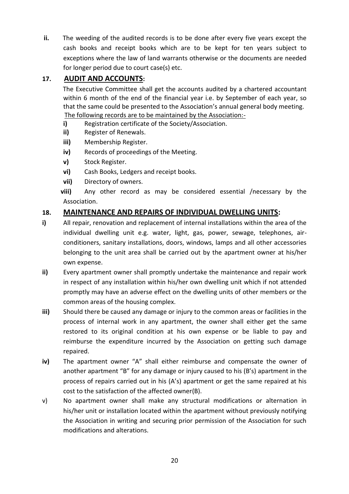**ii.** The weeding of the audited records is to be done after every five years except the cash books and receipt books which are to be kept for ten years subject to exceptions where the law of land warrants otherwise or the documents are needed for longer period due to court case(s) etc.

## **17. AUDIT AND ACCOUNTS:**

 The Executive Committee shall get the accounts audited by a chartered accountant within 6 month of the end of the financial year i.e. by September of each year, so that the same could be presented to the Association's annual general body meeting. The following records are to be maintained by the Association:-

- **i)** Registration certificate of the Society/Association.
- **ii)** Register of Renewals.
- **iii)** Membership Register.
- **iv)** Records of proceedings of the Meeting.
- **v)** Stock Register.
- **vi)** Cash Books, Ledgers and receipt books.
- **vii)** Directory of owners.

**viii)** Any other record as may be considered essential /necessary by the Association.

## **18. MAINTENANCE AND REPAIRS OF INDIVIDUAL DWELLING UNITS:**

- **i)** All repair, renovation and replacement of internal installations within the area of the individual dwelling unit e.g. water, light, gas, power, sewage, telephones, airconditioners, sanitary installations, doors, windows, lamps and all other accessories belonging to the unit area shall be carried out by the apartment owner at his/her own expense.
- **ii)** Every apartment owner shall promptly undertake the maintenance and repair work in respect of any installation within his/her own dwelling unit which if not attended promptly may have an adverse effect on the dwelling units of other members or the common areas of the housing complex.
- **iii)** Should there be caused any damage or injury to the common areas or facilities in the process of internal work in any apartment, the owner shall either get the same restored to its original condition at his own expense or be liable to pay and reimburse the expenditure incurred by the Association on getting such damage repaired.
- **iv)** The apartment owner "A" shall either reimburse and compensate the owner of another apartment "B" for any damage or injury caused to his (B's) apartment in the process of repairs carried out in his (A's) apartment or get the same repaired at his cost to the satisfaction of the affected owner(B).
- v) No apartment owner shall make any structural modifications or alternation in his/her unit or installation located within the apartment without previously notifying the Association in writing and securing prior permission of the Association for such modifications and alterations.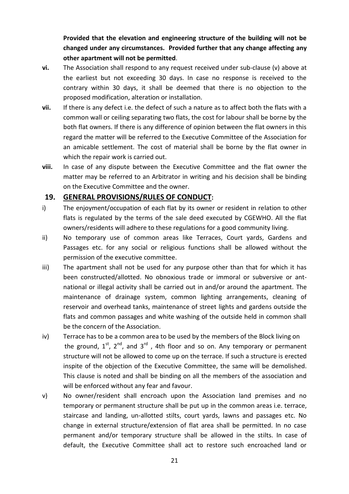**Provided that the elevation and engineering structure of the building will not be changed under any circumstances. Provided further that any change affecting any other apartment will not be permitted**.

- **vi.** The Association shall respond to any request received under sub-clause (v) above at the earliest but not exceeding 30 days. In case no response is received to the contrary within 30 days, it shall be deemed that there is no objection to the proposed modification, alteration or installation.
- **vii.** If there is any defect i.e. the defect of such a nature as to affect both the flats with a common wall or ceiling separating two flats, the cost for labour shall be borne by the both flat owners. If there is any difference of opinion between the flat owners in this regard the matter will be referred to the Executive Committee of the Association for an amicable settlement. The cost of material shall be borne by the flat owner in which the repair work is carried out.
- **viii.** In case of any dispute between the Executive Committee and the flat owner the matter may be referred to an Arbitrator in writing and his decision shall be binding on the Executive Committee and the owner.

#### **19. GENERAL PROVISIONS/RULES OF CONDUCT:**

- i) The enjoyment/occupation of each flat by its owner or resident in relation to other flats is regulated by the terms of the sale deed executed by CGEWHO. All the flat owners/residents will adhere to these regulations for a good community living.
- ii) No temporary use of common areas like Terraces, Court yards, Gardens and Passages etc. for any social or religious functions shall be allowed without the permission of the executive committee.
- iii) The apartment shall not be used for any purpose other than that for which it has been constructed/allotted. No obnoxious trade or immoral or subversive or antnational or illegal activity shall be carried out in and/or around the apartment. The maintenance of drainage system, common lighting arrangements, cleaning of reservoir and overhead tanks, maintenance of street lights and gardens outside the flats and common passages and white washing of the outside held in common shall be the concern of the Association.
- iv) Terrace has to be a common area to be used by the members of the Block living on the ground,  $1^{st}$ ,  $2^{nd}$ , and  $3^{rd}$ , 4th floor and so on. Any temporary or permanent structure will not be allowed to come up on the terrace. If such a structure is erected inspite of the objection of the Executive Committee, the same will be demolished. This clause is noted and shall be binding on all the members of the association and will be enforced without any fear and favour.
- v) No owner/resident shall encroach upon the Association land premises and no temporary or permanent structure shall be put up in the common areas i.e. terrace, staircase and landing, un-allotted stilts, court yards, lawns and passages etc. No change in external structure/extension of flat area shall be permitted. In no case permanent and/or temporary structure shall be allowed in the stilts. In case of default, the Executive Committee shall act to restore such encroached land or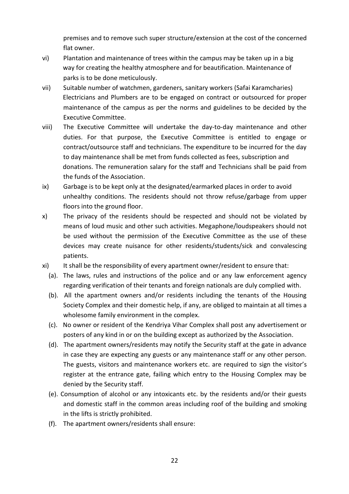premises and to remove such super structure/extension at the cost of the concerned flat owner.

- vi) Plantation and maintenance of trees within the campus may be taken up in a big way for creating the healthy atmosphere and for beautification. Maintenance of parks is to be done meticulously.
- vii) Suitable number of watchmen, gardeners, sanitary workers (Safai Karamcharies) Electricians and Plumbers are to be engaged on contract or outsourced for proper maintenance of the campus as per the norms and guidelines to be decided by the Executive Committee.
- viii) The Executive Committee will undertake the day-to-day maintenance and other duties. For that purpose, the Executive Committee is entitled to engage or contract/outsource staff and technicians. The expenditure to be incurred for the day to day maintenance shall be met from funds collected as fees, subscription and donations. The remuneration salary for the staff and Technicians shall be paid from the funds of the Association.
- ix) Garbage is to be kept only at the designated/earmarked places in order to avoid unhealthy conditions. The residents should not throw refuse/garbage from upper floors into the ground floor.
- x) The privacy of the residents should be respected and should not be violated by means of loud music and other such activities. Megaphone/loudspeakers should not be used without the permission of the Executive Committee as the use of these devices may create nuisance for other residents/students/sick and convalescing patients.
- xi) It shall be the responsibility of every apartment owner/resident to ensure that:
	- (a). The laws, rules and instructions of the police and or any law enforcement agency regarding verification of their tenants and foreign nationals are duly complied with.
	- (b). All the apartment owners and/or residents including the tenants of the Housing Society Complex and their domestic help, if any, are obliged to maintain at all times a wholesome family environment in the complex.
	- (c). No owner or resident of the Kendriya Vihar Complex shall post any advertisement or posters of any kind in or on the building except as authorized by the Association.
	- (d). The apartment owners/residents may notify the Security staff at the gate in advance in case they are expecting any guests or any maintenance staff or any other person. The guests, visitors and maintenance workers etc. are required to sign the visitor's register at the entrance gate, failing which entry to the Housing Complex may be denied by the Security staff.
	- (e). Consumption of alcohol or any intoxicants etc. by the residents and/or their guests and domestic staff in the common areas including roof of the building and smoking in the lifts is strictly prohibited.
	- (f). The apartment owners/residents shall ensure: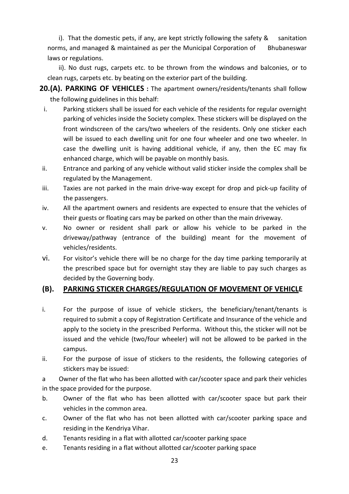i). That the domestic pets, if any, are kept strictly following the safety & sanitation norms, and managed & maintained as per the Municipal Corporation of Bhubaneswar laws or regulations.

 ii). No dust rugs, carpets etc. to be thrown from the windows and balconies, or to clean rugs, carpets etc. by beating on the exterior part of the building.

**20.(A). PARKING OF VEHICLES :** The apartment owners/residents/tenants shall follow the following guidelines in this behalf:

- i. Parking stickers shall be issued for each vehicle of the residents for regular overnight parking of vehicles inside the Society complex. These stickers will be displayed on the front windscreen of the cars/two wheelers of the residents. Only one sticker each will be issued to each dwelling unit for one four wheeler and one two wheeler. In case the dwelling unit is having additional vehicle, if any, then the EC may fix enhanced charge, which will be payable on monthly basis.
- ii. Entrance and parking of any vehicle without valid sticker inside the complex shall be regulated by the Management.
- iii. Taxies are not parked in the main drive-way except for drop and pick-up facility of the passengers.
- iv. All the apartment owners and residents are expected to ensure that the vehicles of their guests or floating cars may be parked on other than the main driveway.
- v. No owner or resident shall park or allow his vehicle to be parked in the driveway/pathway (entrance of the building) meant for the movement of vehicles/residents.
- vi. For visitor's vehicle there will be no charge for the day time parking temporarily at the prescribed space but for overnight stay they are liable to pay such charges as decided by the Governing body.

#### **(B). PARKING STICKER CHARGES/REGULATION OF MOVEMENT OF VEHICLE**

- i. For the purpose of issue of vehicle stickers, the beneficiary/tenant/tenants is required to submit a copy of Registration Certificate and Insurance of the vehicle and apply to the society in the prescribed Performa. Without this, the sticker will not be issued and the vehicle (two/four wheeler) will not be allowed to be parked in the campus.
- ii. For the purpose of issue of stickers to the residents, the following categories of stickers may be issued:

a Owner of the flat who has been allotted with car/scooter space and park their vehicles in the space provided for the purpose.

- b. Owner of the flat who has been allotted with car/scooter space but park their vehicles in the common area.
- c. Owner of the flat who has not been allotted with car/scooter parking space and residing in the Kendriya Vihar.
- d. Tenants residing in a flat with allotted car/scooter parking space
- e. Tenants residing in a flat without allotted car/scooter parking space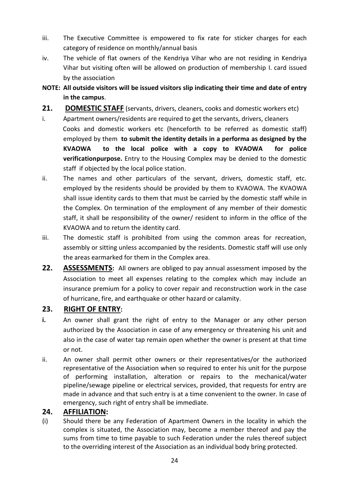- iii. The Executive Committee is empowered to fix rate for sticker charges for each category of residence on monthly/annual basis
- iv. The vehicle of flat owners of the Kendriya Vihar who are not residing in Kendriya Vihar but visiting often will be allowed on production of membership I. card issued by the association
- **NOTE: All outside visitors will be issued visitors slip indicating their time and date of entry in the campus**.
- **21. DOMESTIC STAFF** (servants, drivers, cleaners, cooks and domestic workers etc)
- i. Apartment owners/residents are required to get the servants, drivers, cleaners Cooks and domestic workers etc (henceforth to be referred as domestic staff) employed by them **to submit the identity details in a performa as designed by the KVAOWA to the local police with a copy to KVAOWA for police verificationpurpose.** Entry to the Housing Complex may be denied to the domestic staff if objected by the local police station.
- ii. The names and other particulars of the servant, drivers, domestic staff, etc. employed by the residents should be provided by them to KVAOWA. The KVAOWA shall issue identity cards to them that must be carried by the domestic staff while in the Complex. On termination of the employment of any member of their domestic staff, it shall be responsibility of the owner/ resident to inform in the office of the KVAOWA and to return the identity card.
- iii. The domestic staff is prohibited from using the common areas for recreation, assembly or sitting unless accompanied by the residents. Domestic staff will use only the areas earmarked for them in the Complex area.
- **22. ASSESSMENTS:** All owners are obliged to pay annual assessment imposed by the Association to meet all expenses relating to the complex which may include an insurance premium for a policy to cover repair and reconstruction work in the case of hurricane, fire, and earthquake or other hazard or calamity.

## **23. RIGHT OF ENTRY:**

- **i.** An owner shall grant the right of entry to the Manager or any other person authorized by the Association in case of any emergency or threatening his unit and also in the case of water tap remain open whether the owner is present at that time or not.
- ii. An owner shall permit other owners or their representatives/or the authorized representative of the Association when so required to enter his unit for the purpose of performing installation, alteration or repairs to the mechanical/water pipeline/sewage pipeline or electrical services, provided, that requests for entry are made in advance and that such entry is at a time convenient to the owner. In case of emergency, such right of entry shall be immediate.

#### **24. AFFILIATION:**

(i) Should there be any Federation of Apartment Owners in the locality in which the complex is situated, the Association may, become a member thereof and pay the sums from time to time payable to such Federation under the rules thereof subject to the overriding interest of the Association as an individual body bring protected.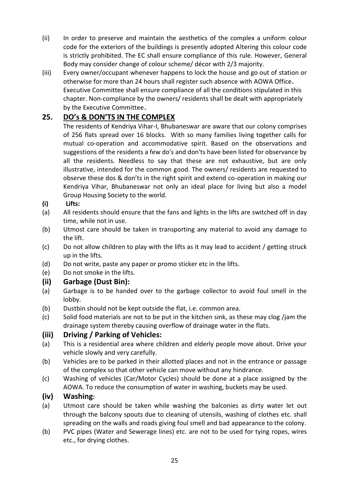- (ii) In order to preserve and maintain the aesthetics of the complex a uniform colour code for the exteriors of the buildings is presently adopted Altering this colour code is strictly prohibited. The EC shall ensure compliance of this rule. However, General Body may consider change of colour scheme/ décor with 2/3 majority.
- (iii) Every owner/occupant whenever happens to lock the house and go out of station or otherwise for more than 24 hours shall register such absence with AOWA Office. Executive Committee shall ensure compliance of all the conditions stipulated in this chapter. Non-compliance by the owners/ residents shall be dealt with appropriately by the Executive Committee.

## **25. DO's & DON'TS IN THE COMPLEX**

The residents of Kendriya Vihar-I, Bhubaneswar are aware that our colony comprises of 256 flats spread over 16 blocks. With so many families living together calls for mutual co-operation and accommodative spirit. Based on the observations and suggestions of the residents a few do's and don'ts have been listed for observance by all the residents. Needless to say that these are not exhaustive, but are only illustrative, intended for the common good. The owners/ residents are requested to observe these dos & don'ts in the right spirit and extend co-operation in making our Kendriya Vihar, Bhubaneswar not only an ideal place for living but also a model Group Housing Society to the world.

#### **(i) Lifts:**

- (a) All residents should ensure that the fans and lights in the lifts are switched off in day time, while not in use.
- (b) Utmost care should be taken in transporting any material to avoid any damage to the lift.
- (c) Do not allow children to play with the lifts as it may lead to accident / getting struck up in the lifts.
- (d) Do not write, paste any paper or promo sticker etc in the lifts.
- (e) Do not smoke in the lifts.

#### **(ii) Garbage (Dust Bin):**

- (a) Garbage is to be handed over to the garbage collector to avoid foul smell in the lobby.
- (b) Dustbin should not be kept outside the flat, i.e. common area.
- (c) Solid food materials are not to be put in the kitchen sink, as these may clog /jam the drainage system thereby causing overflow of drainage water in the flats.

#### **(iii) Driving / Parking of Vehicles:**

- (a) This is a residential area where children and elderly people move about. Drive your vehicle slowly and very carefully.
- (b) Vehicles are to be parked in their allotted places and not in the entrance or passage of the complex so that other vehicle can move without any hindrance.
- (c) Washing of vehicles (Car/Motor Cycles) should be done at a place assigned by the AOWA. To reduce the consumption of water in washing, buckets may be used.

#### **(iv) Washing:**

- (a) Utmost care should be taken while washing the balconies as dirty water let out through the balcony spouts due to cleaning of utensils, washing of clothes etc. shall spreading on the walls and roads giving foul smell and bad appearance to the colony.
- (b) PVC pipes (Water and Sewerage lines) etc. are not to be used for tying ropes, wires etc., for drying clothes.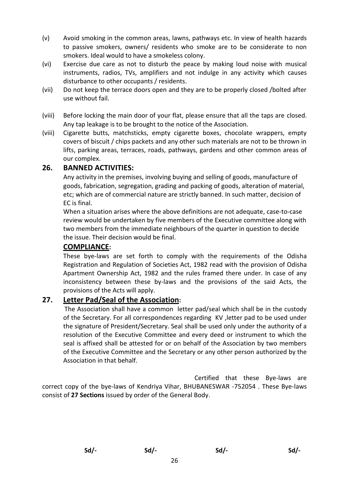- (v) Avoid smoking in the common areas, lawns, pathways etc. In view of health hazards to passive smokers, owners/ residents who smoke are to be considerate to non smokers. Ideal would to have a smokeless colony.
- (vi) Exercise due care as not to disturb the peace by making loud noise with musical instruments, radios, TVs, amplifiers and not indulge in any activity which causes disturbance to other occupants / residents.
- (vii) Do not keep the terrace doors open and they are to be properly closed /bolted after use without fail.
- (viii) Before locking the main door of your flat, please ensure that all the taps are closed. Any tap leakage is to be brought to the notice of the Association.
- (viii) Cigarette butts, matchsticks, empty cigarette boxes, chocolate wrappers, empty covers of biscuit / chips packets and any other such materials are not to be thrown in lifts, parking areas, terraces, roads, pathways, gardens and other common areas of our complex.

#### **26. BANNED ACTIVITIES:**

Any activity in the premises, involving buying and selling of goods, manufacture of goods, fabrication, segregation, grading and packing of goods, alteration of material, etc; which are of commercial nature are strictly banned. In such matter, decision of EC is final.

When a situation arises where the above definitions are not adequate, case-to-case review would be undertaken by five members of the Executive committee along with two members from the immediate neighbours of the quarter in question to decide the issue. Their decision would be final.

#### **COMPLIANCE:**

These bye-laws are set forth to comply with the requirements of the Odisha Registration and Regulation of Societies Act, 1982 read with the provision of Odisha Apartment Ownership Act, 1982 and the rules framed there under. In case of any inconsistency between these by-laws and the provisions of the said Acts, the provisions of the Acts will apply.

#### **27. Letter Pad/Seal of the Association:**

 The Association shall have a common letter pad/seal which shall be in the custody of the Secretary. For all correspondences regarding KV ,letter pad to be used under the signature of President/Secretary. Seal shall be used only under the authority of a resolution of the Executive Committee and every deed or instrument to which the seal is affixed shall be attested for or on behalf of the Association by two members of the Executive Committee and the Secretary or any other person authorized by the Association in that behalf.

 Certified that these Bye-laws are correct copy of the bye-laws of Kendriya Vihar, BHUBANESWAR -752054 . These Bye-laws consist of **27 Sections** issued by order of the General Body.

 **Sd/- Sd/- Sd/- Sd/-**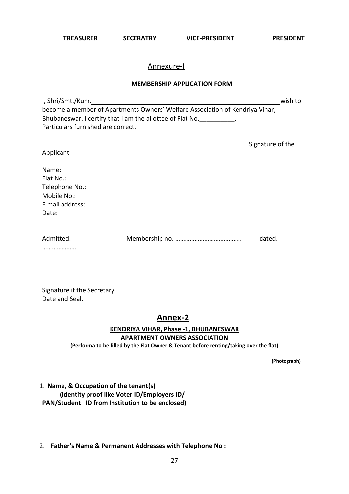**TREASURER SECERATRY VICE-PRESIDENT PRESIDENT**

#### Annexure-I

#### **MEMBERSHIP APPLICATION FORM**

| I, Shri/Smt./Kum.                                                            | wish to |
|------------------------------------------------------------------------------|---------|
| become a member of Apartments Owners' Welfare Association of Kendriya Vihar, |         |
| Bhubaneswar. I certify that I am the allottee of Flat No.                    |         |
| Particulars furnished are correct.                                           |         |
| Signature of the                                                             |         |
| Applicant                                                                    |         |

| Name:     |  |
|-----------|--|
| Flat No.: |  |

Telephone No.: Mobile No.: E mail address: Date:

| Admitted. | dated. |
|-----------|--------|
|           |        |

…………………

Signature if the Secretary Date and Seal.

## **Annex-2**

#### **KENDRIYA VIHAR, Phase -1, BHUBANESWAR APARTMENT OWNERS ASSOCIATION**

**(Performa to be filled by the Flat Owner & Tenant before renting/taking over the flat)** 

**(Photograph)** 

1. **Name, & Occupation of the tenant(s) (Identity proof like Voter ID/Employers ID/ PAN/Student ID from Institution to be enclosed)**

2. **Father's Name & Permanent Addresses with Telephone No :**